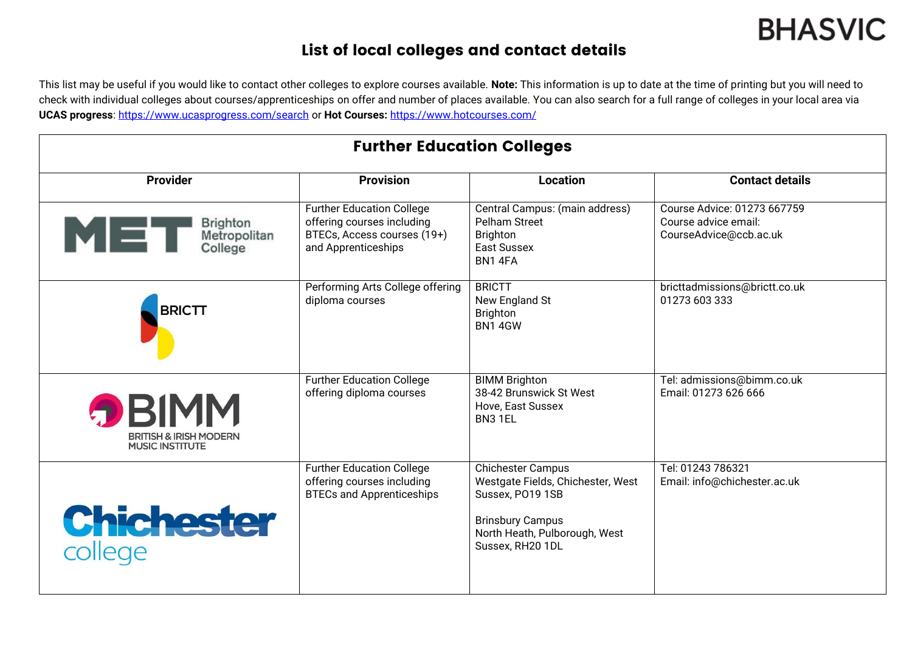## **BHASVIC**

## List of local colleges and contact details

This list may be useful if you would like to contact other colleges to explore courses available. **Note:** This information is up to date at the time of printing but you will need to check with individual colleges about courses/apprenticeships on offer and number of places available. You can also search for a full range of colleges in your local area via **UCAS progress**:<https://www.ucasprogress.com/search> or **Hot Courses:** <https://www.hotcourses.com/>

| <b>Further Education Colleges</b>                                           |                                                                                                                      |                                                                                                                                                                   |                                                                               |  |  |
|-----------------------------------------------------------------------------|----------------------------------------------------------------------------------------------------------------------|-------------------------------------------------------------------------------------------------------------------------------------------------------------------|-------------------------------------------------------------------------------|--|--|
| <b>Provider</b>                                                             | <b>Provision</b>                                                                                                     | <b>Location</b>                                                                                                                                                   | <b>Contact details</b>                                                        |  |  |
| Brighton<br>MET<br>Metropolitan<br>College                                  | <b>Further Education College</b><br>offering courses including<br>BTECs, Access courses (19+)<br>and Apprenticeships | Central Campus: (main address)<br>Pelham Street<br><b>Brighton</b><br>East Sussex<br>BN14FA                                                                       | Course Advice: 01273 667759<br>Course advice email:<br>CourseAdvice@ccb.ac.uk |  |  |
| <b>BRICTT</b>                                                               | Performing Arts College offering<br>diploma courses                                                                  | <b>BRICTT</b><br>New England St<br>Brighton<br><b>BN1 4GW</b>                                                                                                     | bricttadmissions@brictt.co.uk<br>01273 603 333                                |  |  |
| <b>DBIMM</b><br><b>BRITISH &amp; IRISH MODERN</b><br><b>MUSIC INSTITUTE</b> | <b>Further Education College</b><br>offering diploma courses                                                         | <b>BIMM Brighton</b><br>38-42 Brunswick St West<br>Hove, East Sussex<br>BN3 1EL                                                                                   | Tel: admissions@bimm.co.uk<br>Email: 01273 626 666                            |  |  |
| <b>Chichester</b><br>college                                                | <b>Further Education College</b><br>offering courses including<br><b>BTECs and Apprenticeships</b>                   | <b>Chichester Campus</b><br>Westgate Fields, Chichester, West<br>Sussex, PO19 1SB<br><b>Brinsbury Campus</b><br>North Heath, Pulborough, West<br>Sussex, RH20 1DL | Tel: 01243 786321<br>Email: info@chichester.ac.uk                             |  |  |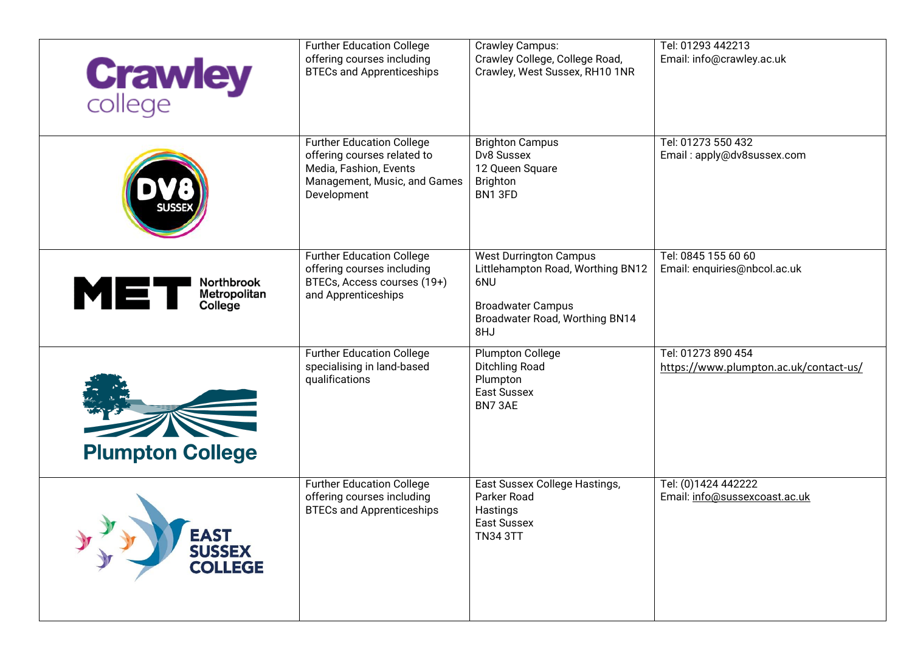| <b>Crawley</b>                                 | <b>Further Education College</b><br>offering courses including<br><b>BTECs and Apprenticeships</b>                                       | <b>Crawley Campus:</b><br>Crawley College, College Road,<br>Crawley, West Sussex, RH10 1NR                                                     | Tel: 01293 442213<br>Email: info@crawley.ac.uk               |
|------------------------------------------------|------------------------------------------------------------------------------------------------------------------------------------------|------------------------------------------------------------------------------------------------------------------------------------------------|--------------------------------------------------------------|
|                                                | <b>Further Education College</b><br>offering courses related to<br>Media, Fashion, Events<br>Management, Music, and Games<br>Development | <b>Brighton Campus</b><br>Dv8 Sussex<br>12 Queen Square<br><b>Brighton</b><br>BN1 3FD                                                          | Tel: 01273 550 432<br>Email: apply@dv8sussex.com             |
| Northbrook<br>MET<br>Metropolitan<br>College   | <b>Further Education College</b><br>offering courses including<br>BTECs, Access courses (19+)<br>and Apprenticeships                     | <b>West Durrington Campus</b><br>Littlehampton Road, Worthing BN12<br>6NU<br><b>Broadwater Campus</b><br>Broadwater Road, Worthing BN14<br>8HJ | Tel: 0845 155 60 60<br>Email: enquiries@nbcol.ac.uk          |
| <b>Plumpton College</b>                        | <b>Further Education College</b><br>specialising in land-based<br>qualifications                                                         | Plumpton College<br><b>Ditchling Road</b><br>Plumpton<br>East Sussex<br>BN73AE                                                                 | Tel: 01273 890 454<br>https://www.plumpton.ac.uk/contact-us/ |
| <b>EAST</b><br><b>SUSSEX</b><br><b>COLLEGE</b> | <b>Further Education College</b><br>offering courses including<br><b>BTECs and Apprenticeships</b>                                       | East Sussex College Hastings,<br>Parker Road<br>Hastings<br>East Sussex<br><b>TN34 3TT</b>                                                     | Tel: (0)1424 442222<br>Email: info@sussexcoast.ac.uk         |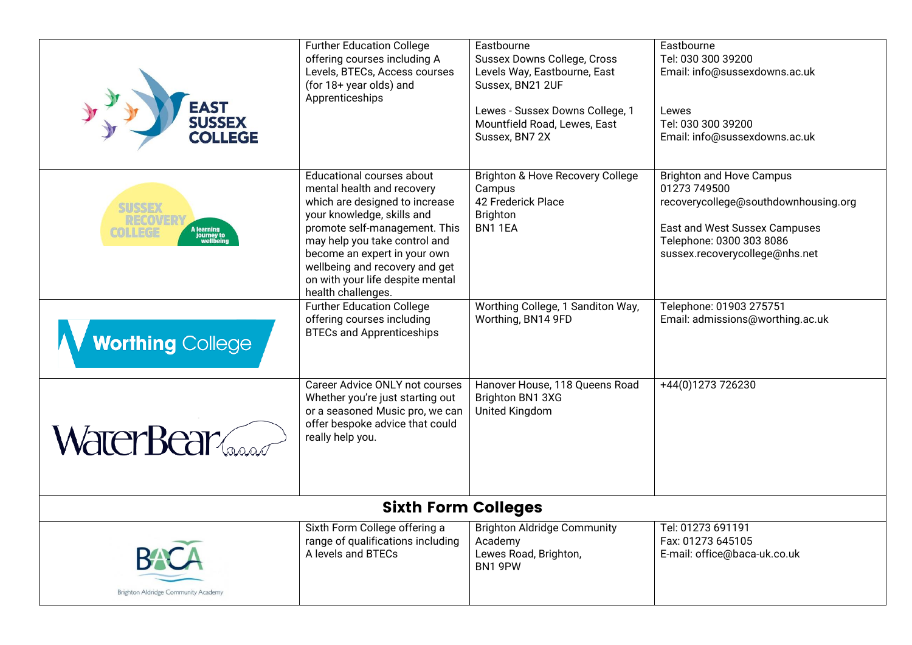| <b>EAST<br/>SUSSEX<br/>COLLEGE</b>                                                 | <b>Further Education College</b><br>offering courses including A<br>Levels, BTECs, Access courses<br>(for 18+ year olds) and<br>Apprenticeships                                                                                                                                                                       | Eastbourne<br><b>Sussex Downs College, Cross</b><br>Levels Way, Eastbourne, East<br>Sussex, BN21 2UF<br>Lewes - Sussex Downs College, 1<br>Mountfield Road, Lewes, East<br>Sussex, BN7 2X | Eastbourne<br>Tel: 030 300 39200<br>Email: info@sussexdowns.ac.uk<br>Lewes<br>Tel: 030 300 39200<br>Email: info@sussexdowns.ac.uk                                                      |  |  |
|------------------------------------------------------------------------------------|-----------------------------------------------------------------------------------------------------------------------------------------------------------------------------------------------------------------------------------------------------------------------------------------------------------------------|-------------------------------------------------------------------------------------------------------------------------------------------------------------------------------------------|----------------------------------------------------------------------------------------------------------------------------------------------------------------------------------------|--|--|
| <b>SUSSEX</b><br>RECOVER<br>A learning<br>journey to<br>wellbein<br><b>COLLEGE</b> | Educational courses about<br>mental health and recovery<br>which are designed to increase<br>your knowledge, skills and<br>promote self-management. This<br>may help you take control and<br>become an expert in your own<br>wellbeing and recovery and get<br>on with your life despite mental<br>health challenges. | Brighton & Hove Recovery College<br>Campus<br>42 Frederick Place<br><b>Brighton</b><br>BN11EA                                                                                             | <b>Brighton and Hove Campus</b><br>01273 749500<br>recoverycollege@southdownhousing.org<br>East and West Sussex Campuses<br>Telephone: 0300 303 8086<br>sussex.recoverycollege@nhs.net |  |  |
| <b>Worthing College</b>                                                            | <b>Further Education College</b><br>offering courses including<br><b>BTECs and Apprenticeships</b>                                                                                                                                                                                                                    | Worthing College, 1 Sanditon Way,<br>Worthing, BN14 9FD                                                                                                                                   | Telephone: 01903 275751<br>Email: admissions@worthing.ac.uk                                                                                                                            |  |  |
| WaterBear                                                                          | Career Advice ONLY not courses<br>Whether you're just starting out<br>or a seasoned Music pro, we can<br>offer bespoke advice that could<br>really help you.                                                                                                                                                          | Hanover House, 118 Queens Road<br>Brighton BN1 3XG<br>United Kingdom                                                                                                                      | +44(0)1273 726230                                                                                                                                                                      |  |  |
| <b>Sixth Form Colleges</b>                                                         |                                                                                                                                                                                                                                                                                                                       |                                                                                                                                                                                           |                                                                                                                                                                                        |  |  |
| <b>BACA</b><br>Brighton Aldridge Community Academy                                 | Sixth Form College offering a<br>range of qualifications including<br>A levels and BTECs                                                                                                                                                                                                                              | <b>Brighton Aldridge Community</b><br>Academy<br>Lewes Road, Brighton,<br>BN1 9PW                                                                                                         | Tel: 01273 691191<br>Fax: 01273 645105<br>E-mail: office@baca-uk.co.uk                                                                                                                 |  |  |